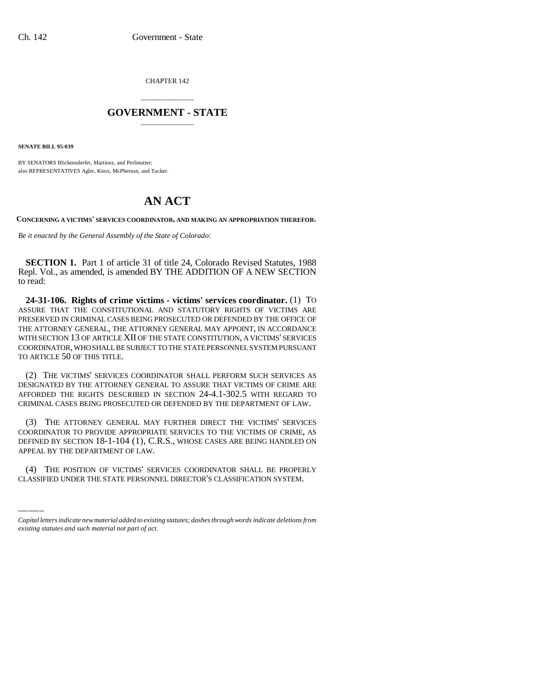CHAPTER 142

## \_\_\_\_\_\_\_\_\_\_\_\_\_\_\_ **GOVERNMENT - STATE** \_\_\_\_\_\_\_\_\_\_\_\_\_\_\_

**SENATE BILL 95-039**

BY SENATORS Blickensderfer, Martinez, and Perlmutter; also REPRESENTATIVES Agler, Knox, McPherson, and Tucker.

## **AN ACT**

**CONCERNING A VICTIMS' SERVICES COORDINATOR, AND MAKING AN APPROPRIATION THEREFOR.**

*Be it enacted by the General Assembly of the State of Colorado:*

**SECTION 1.** Part 1 of article 31 of title 24, Colorado Revised Statutes, 1988 Repl. Vol., as amended, is amended BY THE ADDITION OF A NEW SECTION to read:

**24-31-106. Rights of crime victims - victims' services coordinator.** (1) TO ASSURE THAT THE CONSTITUTIONAL AND STATUTORY RIGHTS OF VICTIMS ARE PRESERVED IN CRIMINAL CASES BEING PROSECUTED OR DEFENDED BY THE OFFICE OF THE ATTORNEY GENERAL, THE ATTORNEY GENERAL MAY APPOINT, IN ACCORDANCE WITH SECTION 13 OF ARTICLE XII OF THE STATE CONSTITUTION, A VICTIMS' SERVICES COORDINATOR, WHO SHALL BE SUBJECT TO THE STATE PERSONNEL SYSTEM PURSUANT TO ARTICLE 50 OF THIS TITLE.

(2) THE VICTIMS' SERVICES COORDINATOR SHALL PERFORM SUCH SERVICES AS DESIGNATED BY THE ATTORNEY GENERAL TO ASSURE THAT VICTIMS OF CRIME ARE AFFORDED THE RIGHTS DESCRIBED IN SECTION 24-4.1-302.5 WITH REGARD TO CRIMINAL CASES BEING PROSECUTED OR DEFENDED BY THE DEPARTMENT OF LAW.

DEFINED BY SECTION 18-1-104 (1), C<br>APPEAL BY THE DEPARTMENT OF LAW. (3) THE ATTORNEY GENERAL MAY FURTHER DIRECT THE VICTIMS' SERVICES COORDINATOR TO PROVIDE APPROPRIATE SERVICES TO THE VICTIMS OF CRIME, AS DEFINED BY SECTION 18-1-104 (1), C.R.S., WHOSE CASES ARE BEING HANDLED ON

(4) THE POSITION OF VICTIMS' SERVICES COORDINATOR SHALL BE PROPERLY CLASSIFIED UNDER THE STATE PERSONNEL DIRECTOR'S CLASSIFICATION SYSTEM.

*Capital letters indicate new material added to existing statutes; dashes through words indicate deletions from existing statutes and such material not part of act.*